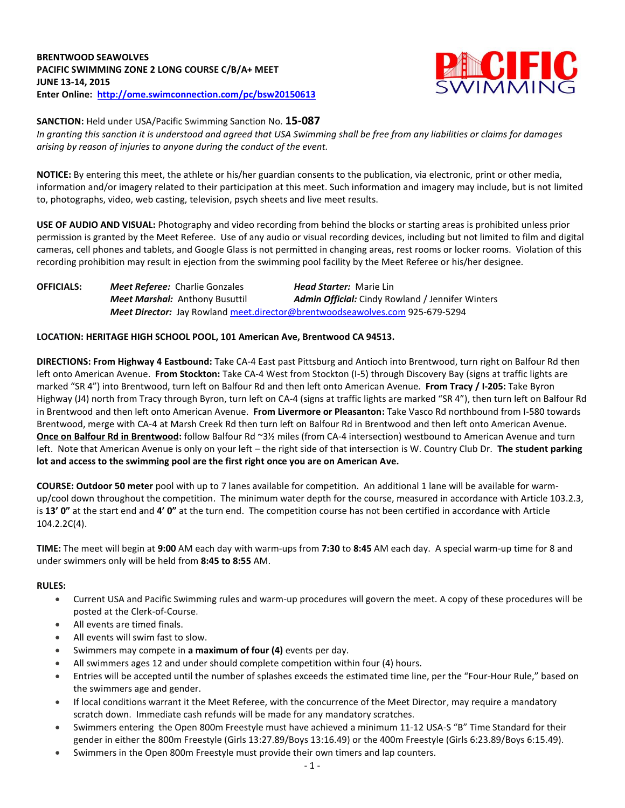# **BRENTWOOD SEAWOLVES PACIFIC SWIMMING ZONE 2 LONG COURSE C/B/A+ MEET JUNE 13-14, 2015 Enter Online: <http://ome.swimconnection.com/pc/bsw20150613>**



**SANCTION:** Held under USA/Pacific Swimming Sanction No. **15-087**

*In granting this sanction it is understood and agreed that USA Swimming shall be free from any liabilities or claims for damages arising by reason of injuries to anyone during the conduct of the event.*

**NOTICE:** By entering this meet, the athlete or his/her guardian consents to the publication, via electronic, print or other media, information and/or imagery related to their participation at this meet. Such information and imagery may include, but is not limited to, photographs, video, web casting, television, psych sheets and live meet results.

**USE OF AUDIO AND VISUAL:** Photography and video recording from behind the blocks or starting areas is prohibited unless prior permission is granted by the Meet Referee. Use of any audio or visual recording devices, including but not limited to film and digital cameras, cell phones and tablets, and Google Glass is not permitted in changing areas, rest rooms or locker rooms. Violation of this recording prohibition may result in ejection from the swimming pool facility by the Meet Referee or his/her designee.

**OFFICIALS:** *Meet Referee:* Charlie Gonzales *Head Starter:* Marie Lin *Meet Marshal:* Anthony Busuttil *Admin Official:* Cindy Rowland / Jennifer Winters *Meet Director:* Jay Rowlan[d meet.director@brentwoodseawolves.com](mailto:meet.director@brentwoodseawolves.com) 925-679-5294

# **LOCATION: HERITAGE HIGH SCHOOL POOL, 101 American Ave, Brentwood CA 94513.**

**DIRECTIONS: From Highway 4 Eastbound:** Take CA-4 East past Pittsburg and Antioch into Brentwood, turn right on Balfour Rd then left onto American Avenue. **From Stockton:** Take CA-4 West from Stockton (I-5) through Discovery Bay (signs at traffic lights are marked "SR 4") into Brentwood, turn left on Balfour Rd and then left onto American Avenue. **From Tracy / I-205:** Take Byron Highway (J4) north from Tracy through Byron, turn left on CA-4 (signs at traffic lights are marked "SR 4"), then turn left on Balfour Rd in Brentwood and then left onto American Avenue. **From Livermore or Pleasanton:** Take Vasco Rd northbound from I-580 towards Brentwood, merge with CA-4 at Marsh Creek Rd then turn left on Balfour Rd in Brentwood and then left onto American Avenue. **Once on Balfour Rd in Brentwood:** follow Balfour Rd ~3½ miles (from CA-4 intersection) westbound to American Avenue and turn left. Note that American Avenue is only on your left – the right side of that intersection is W. Country Club Dr. **The student parking lot and access to the swimming pool are the first right once you are on American Ave.**

**COURSE: Outdoor 50 meter** pool with up to 7 lanes available for competition.An additional 1 lane will be available for warmup/cool down throughout the competition. The minimum water depth for the course, measured in accordance with Article 103.2.3, is **13' 0"** at the start end and **4' 0"** at the turn end. The competition course has not been certified in accordance with Article 104.2.2C(4).

**TIME:** The meet will begin at **9:00** AM each day with warm-ups from **7:30** to **8:45** AM each day. A special warm-up time for 8 and under swimmers only will be held from **8:45 to 8:55** AM.

### **RULES:**

- Current USA and Pacific Swimming rules and warm-up procedures will govern the meet. A copy of these procedures will be posted at the Clerk-of-Course.
- All events are timed finals.
- All events will swim fast to slow.
- Swimmers may compete in **a maximum of four (4)** events per day.
- All swimmers ages 12 and under should complete competition within four (4) hours.
- Entries will be accepted until the number of splashes exceeds the estimated time line, per the "Four-Hour Rule," based on the swimmers age and gender.
- If local conditions warrant it the Meet Referee, with the concurrence of the Meet Director, may require a mandatory scratch down. Immediate cash refunds will be made for any mandatory scratches.
- Swimmers entering the Open 800m Freestyle must have achieved a minimum 11-12 USA-S "B" Time Standard for their gender in either the 800m Freestyle (Girls 13:27.89/Boys 13:16.49) or the 400m Freestyle (Girls 6:23.89/Boys 6:15.49).
- Swimmers in the Open 800m Freestyle must provide their own timers and lap counters.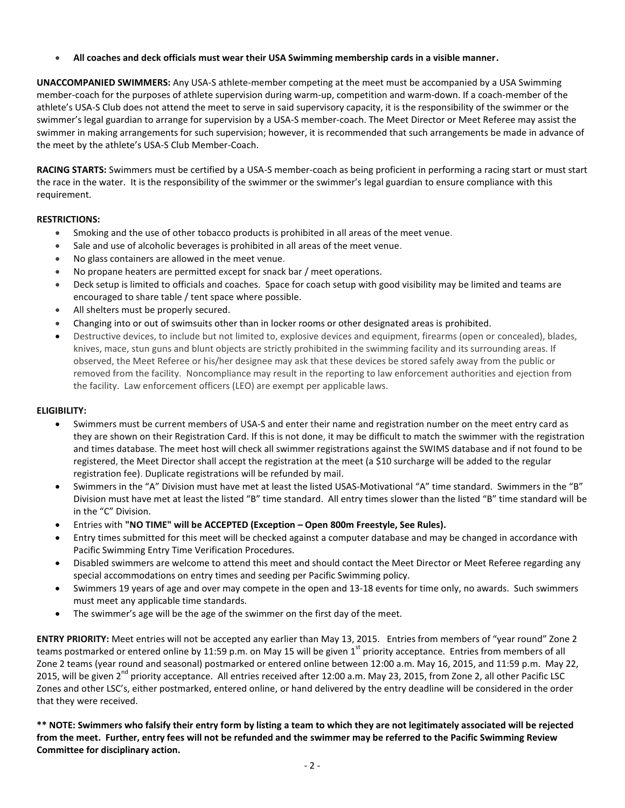**All coaches and deck officials must wear their USA Swimming membership cards in a visible manner.** 

**UNACCOMPANIED SWIMMERS:** Any USA-S athlete-member competing at the meet must be accompanied by a USA Swimming member-coach for the purposes of athlete supervision during warm-up, competition and warm-down. If a coach-member of the athlete's USA-S Club does not attend the meet to serve in said supervisory capacity, it is the responsibility of the swimmer or the swimmer's legal guardian to arrange for supervision by a USA-S member-coach. The Meet Director or Meet Referee may assist the swimmer in making arrangements for such supervision; however, it is recommended that such arrangements be made in advance of the meet by the athlete's USA-S Club Member-Coach.

**RACING STARTS:** Swimmers must be certified by a USA-S member-coach as being proficient in performing a racing start or must start the race in the water. It is the responsibility of the swimmer or the swimmer's legal guardian to ensure compliance with this requirement.

# **RESTRICTIONS:**

- Smoking and the use of other tobacco products is prohibited in all areas of the meet venue.
- Sale and use of alcoholic beverages is prohibited in all areas of the meet venue.
- No glass containers are allowed in the meet venue.
- No propane heaters are permitted except for snack bar / meet operations.
- Deck setup is limited to officials and coaches. Space for coach setup with good visibility may be limited and teams are encouraged to share table / tent space where possible.
- All shelters must be properly secured.
- Changing into or out of swimsuits other than in locker rooms or other designated areas is prohibited.
- Destructive devices, to include but not limited to, explosive devices and equipment, firearms (open or concealed), blades, knives, mace, stun guns and blunt objects are strictly prohibited in the swimming facility and its surrounding areas. If observed, the Meet Referee or his/her designee may ask that these devices be stored safely away from the public or removed from the facility. Noncompliance may result in the reporting to law enforcement authorities and ejection from the facility. Law enforcement officers (LEO) are exempt per applicable laws.

### **ELIGIBILITY:**

- Swimmers must be current members of USA-S and enter their name and registration number on the meet entry card as they are shown on their Registration Card. If this is not done, it may be difficult to match the swimmer with the registration and times database. The meet host will check all swimmer registrations against the SWIMS database and if not found to be registered, the Meet Director shall accept the registration at the meet (a \$10 surcharge will be added to the regular registration fee). Duplicate registrations will be refunded by mail.
- Swimmers in the "A" Division must have met at least the listed USAS-Motivational "A" time standard. Swimmers in the "B" Division must have met at least the listed "B" time standard. All entry times slower than the listed "B" time standard will be in the "C" Division.
- Entries with **"NO TIME" will be ACCEPTED (Exception – Open 800m Freestyle, See Rules).**
- Entry times submitted for this meet will be checked against a computer database and may be changed in accordance with Pacific Swimming Entry Time Verification Procedures.
- Disabled swimmers are welcome to attend this meet and should contact the Meet Director or Meet Referee regarding any special accommodations on entry times and seeding per Pacific Swimming policy.
- Swimmers 19 years of age and over may compete in the open and 13-18 events for time only, no awards. Such swimmers must meet any applicable time standards.
- The swimmer's age will be the age of the swimmer on the first day of the meet.

**ENTRY PRIORITY:** Meet entries will not be accepted any earlier than May 13, 2015.Entries from members of "year round" Zone 2 teams postmarked or entered online by 11:59 p.m. on May 15 will be given  $1^{st}$  priority acceptance. Entries from members of all Zone 2 teams (year round and seasonal) postmarked or entered online between 12:00 a.m. May 16, 2015, and 11:59 p.m. May 22, 2015, will be given  $2<sup>nd</sup>$  priority acceptance. All entries received after 12:00 a.m. May 23, 2015, from Zone 2, all other Pacific LSC Zones and other LSC's, either postmarked, entered online, or hand delivered by the entry deadline will be considered in the order that they were received.

**\*\* NOTE: Swimmers who falsify their entry form by listing a team to which they are not legitimately associated will be rejected from the meet. Further, entry fees will not be refunded and the swimmer may be referred to the Pacific Swimming Review Committee for disciplinary action.**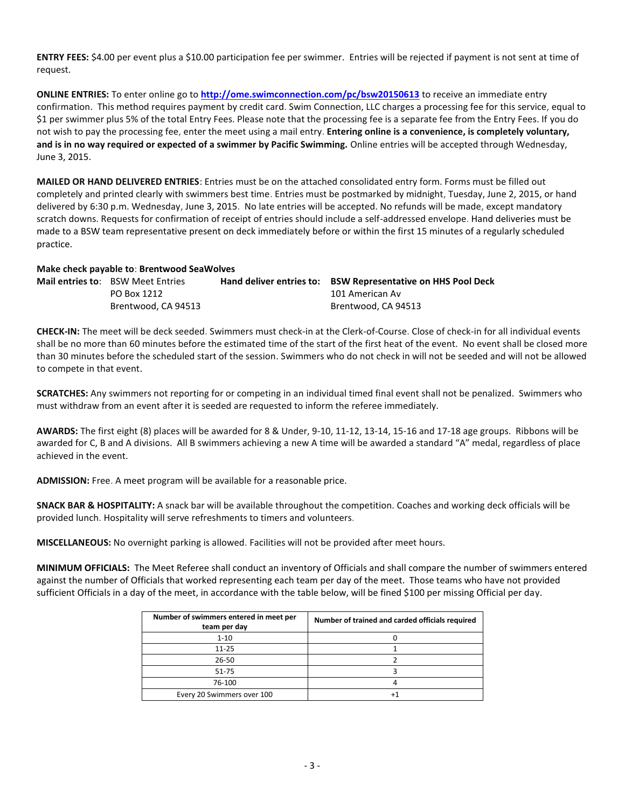**ENTRY FEES:** \$4.00 per event plus a \$10.00 participation fee per swimmer. Entries will be rejected if payment is not sent at time of request.

**ONLINE ENTRIES:** To enter online go to **<http://ome.swimconnection.com/pc/bsw20150613>** to receive an immediate entry confirmation. This method requires payment by credit card. Swim Connection, LLC charges a processing fee for this service, equal to \$1 per swimmer plus 5% of the total Entry Fees. Please note that the processing fee is a separate fee from the Entry Fees. If you do not wish to pay the processing fee, enter the meet using a mail entry. **Entering online is a convenience, is completely voluntary, and is in no way required or expected of a swimmer by Pacific Swimming.** Online entries will be accepted through Wednesday, June 3, 2015.

**MAILED OR HAND DELIVERED ENTRIES**: Entries must be on the attached consolidated entry form. Forms must be filled out completely and printed clearly with swimmers best time. Entries must be postmarked by midnight, Tuesday, June 2, 2015, or hand delivered by 6:30 p.m. Wednesday, June 3, 2015. No late entries will be accepted. No refunds will be made, except mandatory scratch downs. Requests for confirmation of receipt of entries should include a self-addressed envelope. Hand deliveries must be made to a BSW team representative present on deck immediately before or within the first 15 minutes of a regularly scheduled practice.

#### **Make check payable to**: **Brentwood SeaWolves**

| <b>Mail entries to:</b> BSW Meet Entries | Hand deliver entries to: BSW Representative on HHS Pool Deck |
|------------------------------------------|--------------------------------------------------------------|
| PO Box 1212                              | 101 American Av                                              |
| Brentwood, CA 94513                      | Brentwood, CA 94513                                          |

**CHECK-IN:** The meet will be deck seeded. Swimmers must check-in at the Clerk-of-Course. Close of check-in for all individual events shall be no more than 60 minutes before the estimated time of the start of the first heat of the event. No event shall be closed more than 30 minutes before the scheduled start of the session. Swimmers who do not check in will not be seeded and will not be allowed to compete in that event.

**SCRATCHES:** Any swimmers not reporting for or competing in an individual timed final event shall not be penalized. Swimmers who must withdraw from an event after it is seeded are requested to inform the referee immediately.

**AWARDS:** The first eight (8) places will be awarded for 8 & Under, 9-10, 11-12, 13-14, 15-16 and 17-18 age groups. Ribbons will be awarded for C, B and A divisions. All B swimmers achieving a new A time will be awarded a standard "A" medal, regardless of place achieved in the event.

**ADMISSION:** Free. A meet program will be available for a reasonable price.

**SNACK BAR & HOSPITALITY:** A snack bar will be available throughout the competition. Coaches and working deck officials will be provided lunch. Hospitality will serve refreshments to timers and volunteers.

**MISCELLANEOUS:** No overnight parking is allowed. Facilities will not be provided after meet hours.

**MINIMUM OFFICIALS:** The Meet Referee shall conduct an inventory of Officials and shall compare the number of swimmers entered against the number of Officials that worked representing each team per day of the meet. Those teams who have not provided sufficient Officials in a day of the meet, in accordance with the table below, will be fined \$100 per missing Official per day.

| Number of swimmers entered in meet per<br>team per day | Number of trained and carded officials required |
|--------------------------------------------------------|-------------------------------------------------|
| $1 - 10$                                               |                                                 |
| $11 - 25$                                              |                                                 |
| 26-50                                                  |                                                 |
| 51-75                                                  |                                                 |
| 76-100                                                 |                                                 |
| Every 20 Swimmers over 100                             |                                                 |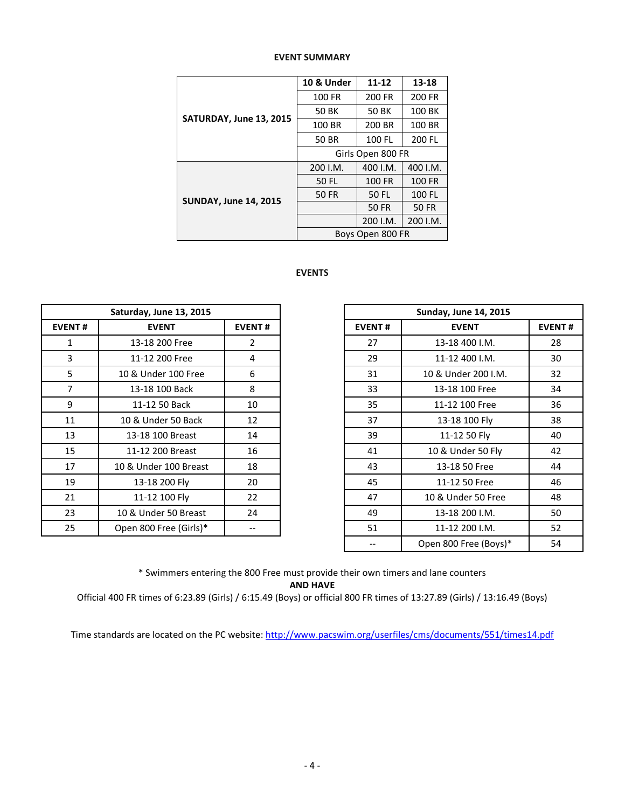|                              | 10 & Under                                                                                                                                                                                                                                            | $11 - 12$        | 13-18    |  |  |  |
|------------------------------|-------------------------------------------------------------------------------------------------------------------------------------------------------------------------------------------------------------------------------------------------------|------------------|----------|--|--|--|
|                              | 100 FR<br>200 FR<br>200 FR<br>100 BK<br>50 BK<br>50 BK<br>100 BR<br>100 BR<br>200 BR<br>100 FL<br>200 FL<br>50 BR<br>Girls Open 800 FR<br>400 I.M.<br>400 I.M.<br>200 I.M.<br>100 FR<br>100 FR<br>50 FL<br>50 FL<br>100 FL<br>50 FR<br>50 FR<br>50 FR |                  |          |  |  |  |
|                              |                                                                                                                                                                                                                                                       |                  |          |  |  |  |
| SATURDAY, June 13, 2015      |                                                                                                                                                                                                                                                       |                  |          |  |  |  |
|                              |                                                                                                                                                                                                                                                       |                  |          |  |  |  |
|                              |                                                                                                                                                                                                                                                       |                  |          |  |  |  |
|                              |                                                                                                                                                                                                                                                       |                  |          |  |  |  |
|                              |                                                                                                                                                                                                                                                       |                  |          |  |  |  |
| <b>SUNDAY, June 14, 2015</b> |                                                                                                                                                                                                                                                       |                  |          |  |  |  |
|                              |                                                                                                                                                                                                                                                       |                  |          |  |  |  |
|                              |                                                                                                                                                                                                                                                       | 200 I.M.         | 200 I.M. |  |  |  |
|                              |                                                                                                                                                                                                                                                       | Boys Open 800 FR |          |  |  |  |

## **EVENT SUMMARY**

# **EVENTS**

|                | Saturday, June 13, 2015 |                |               | <b>Sunday, June 14, 2015</b> |
|----------------|-------------------------|----------------|---------------|------------------------------|
| <b>EVENT#</b>  | <b>EVENT</b>            | <b>EVENT#</b>  | <b>EVENT#</b> | <b>EVENT</b>                 |
| $\mathbf{1}$   | 13-18 200 Free          | $\overline{2}$ | 27            | 13-18 400 I.M.               |
| 3              | 11-12 200 Free          | 4              | 29            | 11-12 400 I.M.               |
| 5              | 10 & Under 100 Free     | 6              | 31            | 10 & Under 200 I.M.          |
| $\overline{7}$ | 13-18 100 Back          | 8              | 33            | 13-18 100 Free               |
| 9              | 11-12 50 Back           | 10             | 35            | 11-12 100 Free               |
| 11             | 10 & Under 50 Back      | 12             | 37            | 13-18 100 Fly                |
| 13             | 13-18 100 Breast        | 14             | 39            | 11-12 50 Fly                 |
| 15             | 11-12 200 Breast        | 16             | 41            | 10 & Under 50 Fly            |
| 17             | 10 & Under 100 Breast   | 18             | 43            | 13-18 50 Free                |
| 19             | 13-18 200 Fly           | 20             | 45            | 11-12 50 Free                |
| 21             | 11-12 100 Fly           | 22             | 47            | 10 & Under 50 Free           |
| 23             | 10 & Under 50 Breast    | 24             | 49            | 13-18 200 I.M.               |
| 25             | Open 800 Free (Girls)*  |                | 51            | 11-12 200 I.M.               |
|                |                         |                |               |                              |

| Saturday, June 13, 2015 |                        |                | <b>Sunday, June 14, 2015</b> |                       |               |
|-------------------------|------------------------|----------------|------------------------------|-----------------------|---------------|
| <b>EVENT#</b>           | <b>EVENT</b>           | <b>EVENT#</b>  | <b>EVENT#</b>                | <b>EVENT</b>          | <b>EVENT#</b> |
| 1                       | 13-18 200 Free         | $\overline{2}$ | 27                           | 13-18 400 I.M.        | 28            |
| 3                       | 11-12 200 Free         | 4              | 29                           | 11-12 400 I.M.        | 30            |
| 5                       | 10 & Under 100 Free    | 6              | 31                           | 10 & Under 200 I.M.   | 32            |
| 7                       | 13-18 100 Back         | 8              | 33                           | 13-18 100 Free        | 34            |
| 9                       | 11-12 50 Back          | 10             | 35                           | 11-12 100 Free        | 36            |
| 11                      | 10 & Under 50 Back     | 12             | 37                           | 13-18 100 Fly         | 38            |
| 13                      | 13-18 100 Breast       | 14             | 39                           | 11-12 50 Fly          | 40            |
| 15                      | 11-12 200 Breast       | 16             | 41                           | 10 & Under 50 Fly     | 42            |
| 17                      | 10 & Under 100 Breast  | 18             | 43                           | 13-18 50 Free         | 44            |
| 19                      | 13-18 200 Fly          | 20             | 45                           | 11-12 50 Free         | 46            |
| 21                      | 11-12 100 Fly          | 22             | 47                           | 10 & Under 50 Free    | 48            |
| 23                      | 10 & Under 50 Breast   | 24             | 49                           | 13-18 200 I.M.        | 50            |
| 25                      | Open 800 Free (Girls)* | --             | 51                           | 11-12 200 I.M.        | 52            |
|                         |                        |                |                              | Open 800 Free (Boys)* | 54            |

\* Swimmers entering the 800 Free must provide their own timers and lane counters **AND HAVE**

Official 400 FR times of 6:23.89 (Girls) / 6:15.49 (Boys) or official 800 FR times of 13:27.89 (Girls) / 13:16.49 (Boys)

Time standards are located on the PC website: <http://www.pacswim.org/userfiles/cms/documents/551/times14.pdf>